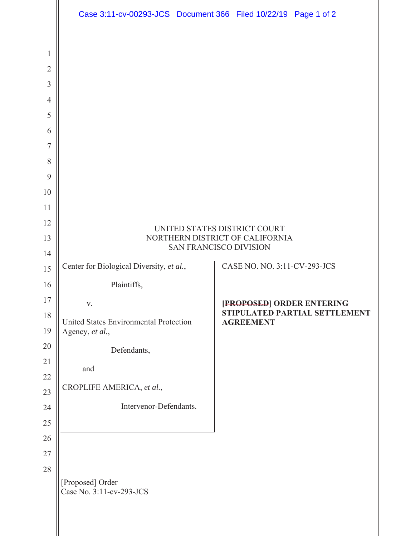|                | Case 3:11-cv-00293-JCS Document 366 Filed 10/22/19 Page 1 of 2 |  |                              |                                                            |
|----------------|----------------------------------------------------------------|--|------------------------------|------------------------------------------------------------|
|                |                                                                |  |                              |                                                            |
| $\mathbf{1}$   |                                                                |  |                              |                                                            |
| $\overline{2}$ |                                                                |  |                              |                                                            |
| $\overline{3}$ |                                                                |  |                              |                                                            |
| $\overline{4}$ |                                                                |  |                              |                                                            |
| 5              |                                                                |  |                              |                                                            |
| 6              |                                                                |  |                              |                                                            |
| $\overline{7}$ |                                                                |  |                              |                                                            |
| 8              |                                                                |  |                              |                                                            |
| 9              |                                                                |  |                              |                                                            |
| 10             |                                                                |  |                              |                                                            |
| 11             |                                                                |  |                              |                                                            |
| 12             | UNITED STATES DISTRICT COURT                                   |  |                              |                                                            |
| 13             | NORTHERN DISTRICT OF CALIFORNIA<br>SAN FRANCISCO DIVISION      |  |                              |                                                            |
| 14             | Center for Biological Diversity, et al.,                       |  | CASE NO. NO. 3:11-CV-293-JCS |                                                            |
| 15             |                                                                |  |                              |                                                            |
| 16<br>17       | Plaintiffs,                                                    |  |                              |                                                            |
| 18             | V.                                                             |  |                              | [PROPOSED] ORDER ENTERING<br>STIPULATED PARTIAL SETTLEMENT |
| 19             | United States Environmental Protection<br>Agency, et al.,      |  | <b>AGREEMENT</b>             |                                                            |
| 20             | Defendants,                                                    |  |                              |                                                            |
| 21             | and                                                            |  |                              |                                                            |
| $22\,$         | CROPLIFE AMERICA, et al.,                                      |  |                              |                                                            |
| 23             |                                                                |  |                              |                                                            |
| 24             | Intervenor-Defendants.                                         |  |                              |                                                            |
| 25             |                                                                |  |                              |                                                            |
| 26<br>27       |                                                                |  |                              |                                                            |
| 28             |                                                                |  |                              |                                                            |
|                | [Proposed] Order<br>Case No. 3:11-cv-293-JCS                   |  |                              |                                                            |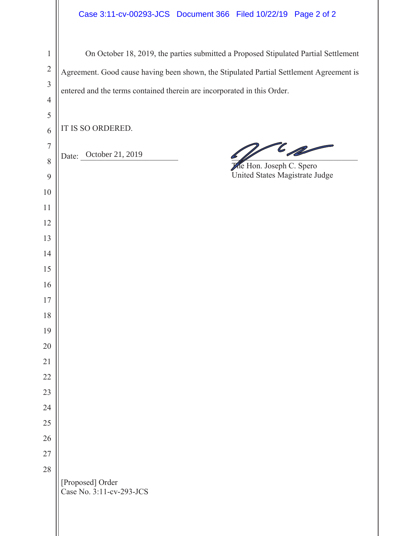| $\,1$          | On October 18, 2019, the parties submitted a Proposed Stipulated Partial Settlement     |
|----------------|-----------------------------------------------------------------------------------------|
| $\sqrt{2}$     | Agreement. Good cause having been shown, the Stipulated Partial Settlement Agreement is |
| $\overline{3}$ | entered and the terms contained therein are incorporated in this Order.                 |
| $\overline{4}$ |                                                                                         |
| 5              | IT IS SO ORDERED.                                                                       |
| 6<br>7         |                                                                                         |
| $\,8\,$        | $\epsilon$ for $\epsilon$<br>Date: October 21, 2019                                     |
| 9              | He Hon. Joseph C. Spero<br>United States Magistrate Judge                               |
| 10             |                                                                                         |
| 11             |                                                                                         |
| 12             |                                                                                         |
| 13             |                                                                                         |
| 14             |                                                                                         |
| 15             |                                                                                         |
| 16             |                                                                                         |
| 17<br>18       |                                                                                         |
| 19             |                                                                                         |
| 20             |                                                                                         |
| 21             |                                                                                         |
| 22             |                                                                                         |
| 23             |                                                                                         |
| 24             |                                                                                         |
| 25             |                                                                                         |
| 26             |                                                                                         |
| 27             |                                                                                         |
| 28             | [Proposed] Order<br>Case No. 3:11-cv-293-JCS                                            |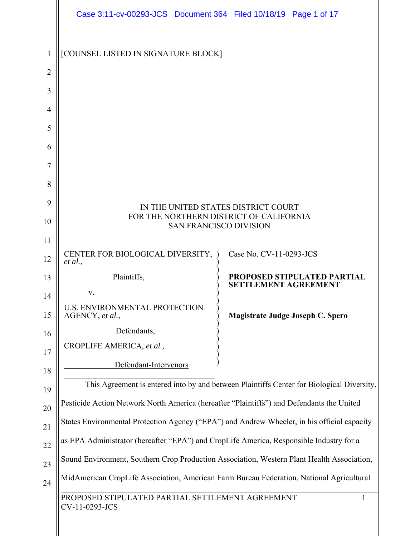|                | Case 3:11-cv-00293-JCS Document 364 Filed 10/18/19 Page 1 of 17                             |                                                                   |  |
|----------------|---------------------------------------------------------------------------------------------|-------------------------------------------------------------------|--|
| 1              | [COUNSEL LISTED IN SIGNATURE BLOCK]                                                         |                                                                   |  |
| $\overline{2}$ |                                                                                             |                                                                   |  |
| 3              |                                                                                             |                                                                   |  |
| $\overline{4}$ |                                                                                             |                                                                   |  |
| 5              |                                                                                             |                                                                   |  |
| 6              |                                                                                             |                                                                   |  |
| 7              |                                                                                             |                                                                   |  |
| 8              |                                                                                             |                                                                   |  |
| 9              |                                                                                             | IN THE UNITED STATES DISTRICT COURT                               |  |
| 10             | FOR THE NORTHERN DISTRICT OF CALIFORNIA<br><b>SAN FRANCISCO DIVISION</b>                    |                                                                   |  |
| 11             |                                                                                             |                                                                   |  |
| 12             | CENTER FOR BIOLOGICAL DIVERSITY, )<br>et al.,                                               | Case No. CV-11-0293-JCS                                           |  |
| 13             | Plaintiffs,                                                                                 | <b>PROPOSED STIPULATED PARTIAL</b><br><b>SETTLEMENT AGREEMENT</b> |  |
| 14             | V.                                                                                          |                                                                   |  |
| 15             | <b>U.S. ENVIRONMENTAL PROTECTION</b><br>AGENCY, et al.,                                     | Magistrate Judge Joseph C. Spero                                  |  |
| 16             | Defendants,                                                                                 |                                                                   |  |
| 17             | CROPLIFE AMERICA, et al.,                                                                   |                                                                   |  |
| 18             | Defendant-Intervenors                                                                       |                                                                   |  |
| 19             | This Agreement is entered into by and between Plaintiffs Center for Biological Diversity,   |                                                                   |  |
| 20             | Pesticide Action Network North America (hereafter "Plaintiffs") and Defendants the United   |                                                                   |  |
| 21             | States Environmental Protection Agency ("EPA") and Andrew Wheeler, in his official capacity |                                                                   |  |
| 22             | as EPA Administrator (hereafter "EPA") and CropLife America, Responsible Industry for a     |                                                                   |  |
| 23             | Sound Environment, Southern Crop Production Association, Western Plant Health Association,  |                                                                   |  |
| 24             | MidAmerican CropLife Association, American Farm Bureau Federation, National Agricultural    |                                                                   |  |
|                | PROPOSED STIPULATED PARTIAL SETTLEMENT AGREEMENT<br>CV-11-0293-JCS                          |                                                                   |  |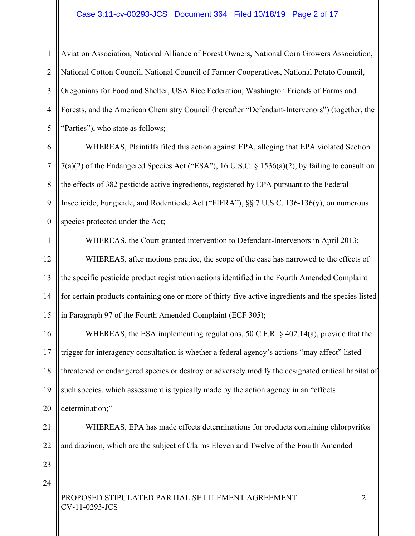## Case 3:11-cv-00293-JCS Document 364 Filed 10/18/19 Page 2 of 17

1 2 3 4 5 Aviation Association, National Alliance of Forest Owners, National Corn Growers Association, National Cotton Council, National Council of Farmer Cooperatives, National Potato Council, Oregonians for Food and Shelter, USA Rice Federation, Washington Friends of Farms and Forests, and the American Chemistry Council (hereafter "Defendant-Intervenors") (together, the "Parties"), who state as follows;

6 7 8 9 10 WHEREAS, Plaintiffs filed this action against EPA, alleging that EPA violated Section 7(a)(2) of the Endangered Species Act ("ESA"), 16 U.S.C. § 1536(a)(2), by failing to consult on the effects of 382 pesticide active ingredients, registered by EPA pursuant to the Federal Insecticide, Fungicide, and Rodenticide Act ("FIFRA"), §§ 7 U.S.C. 136-136(y), on numerous species protected under the Act;

11 12 13 14 15 WHEREAS, the Court granted intervention to Defendant-Intervenors in April 2013; WHEREAS, after motions practice, the scope of the case has narrowed to the effects of the specific pesticide product registration actions identified in the Fourth Amended Complaint for certain products containing one or more of thirty-five active ingredients and the species listed in Paragraph 97 of the Fourth Amended Complaint (ECF 305);

16 17 18 19 20 WHEREAS, the ESA implementing regulations, 50 C.F.R. § 402.14(a), provide that the trigger for interagency consultation is whether a federal agency's actions "may affect" listed threatened or endangered species or destroy or adversely modify the designated critical habitat of such species, which assessment is typically made by the action agency in an "effects determination;"

21 22 WHEREAS, EPA has made effects determinations for products containing chlorpyrifos and diazinon, which are the subject of Claims Eleven and Twelve of the Fourth Amended

- 23
- 24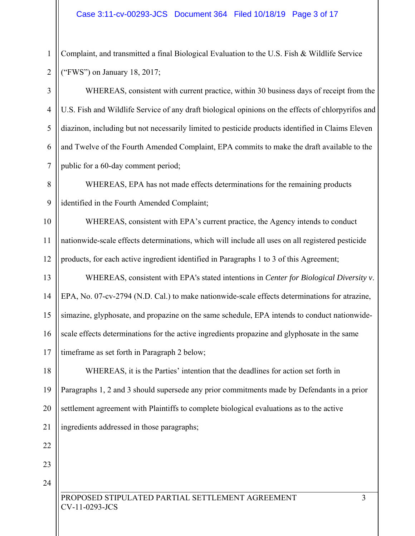1 2

Complaint, and transmitted a final Biological Evaluation to the U.S. Fish & Wildlife Service ("FWS") on January 18, 2017;

3 4 5 6 7 WHEREAS, consistent with current practice, within 30 business days of receipt from the U.S. Fish and Wildlife Service of any draft biological opinions on the effects of chlorpyrifos and diazinon, including but not necessarily limited to pesticide products identified in Claims Eleven and Twelve of the Fourth Amended Complaint, EPA commits to make the draft available to the public for a 60-day comment period;

8 9 WHEREAS, EPA has not made effects determinations for the remaining products identified in the Fourth Amended Complaint;

10 11 12 WHEREAS, consistent with EPA's current practice, the Agency intends to conduct nationwide-scale effects determinations, which will include all uses on all registered pesticide products, for each active ingredient identified in Paragraphs 1 to 3 of this Agreement;

13 14 15 16 17 WHEREAS, consistent with EPA's stated intentions in *Center for Biological Diversity v*. EPA, No. 07-cv-2794 (N.D. Cal.) to make nationwide-scale effects determinations for atrazine, simazine, glyphosate, and propazine on the same schedule, EPA intends to conduct nationwidescale effects determinations for the active ingredients propazine and glyphosate in the same timeframe as set forth in Paragraph 2 below;

18 19 20 21 WHEREAS, it is the Parties' intention that the deadlines for action set forth in Paragraphs 1, 2 and 3 should supersede any prior commitments made by Defendants in a prior settlement agreement with Plaintiffs to complete biological evaluations as to the active ingredients addressed in those paragraphs;

23

22

24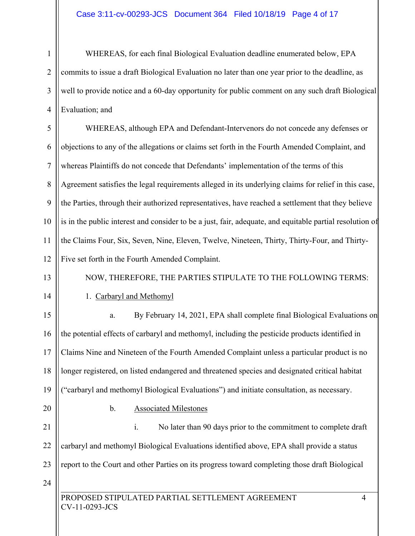1 2 3 4 WHEREAS, for each final Biological Evaluation deadline enumerated below, EPA commits to issue a draft Biological Evaluation no later than one year prior to the deadline, as well to provide notice and a 60-day opportunity for public comment on any such draft Biological Evaluation; and

5 6 7 8 9 10 11 12 WHEREAS, although EPA and Defendant-Intervenors do not concede any defenses or objections to any of the allegations or claims set forth in the Fourth Amended Complaint, and whereas Plaintiffs do not concede that Defendants' implementation of the terms of this Agreement satisfies the legal requirements alleged in its underlying claims for relief in this case, the Parties, through their authorized representatives, have reached a settlement that they believe is in the public interest and consider to be a just, fair, adequate, and equitable partial resolution of the Claims Four, Six, Seven, Nine, Eleven, Twelve, Nineteen, Thirty, Thirty-Four, and Thirty-Five set forth in the Fourth Amended Complaint.

13

14

# 1. Carbaryl and Methomyl

15 16 17 18 19 a. By February 14, 2021, EPA shall complete final Biological Evaluations on the potential effects of carbaryl and methomyl, including the pesticide products identified in Claims Nine and Nineteen of the Fourth Amended Complaint unless a particular product is no longer registered, on listed endangered and threatened species and designated critical habitat ("carbaryl and methomyl Biological Evaluations") and initiate consultation, as necessary.

NOW, THEREFORE, THE PARTIES STIPULATE TO THE FOLLOWING TERMS:

20

l

# b. Associated Milestones

21 22 23 24 i. No later than 90 days prior to the commitment to complete draft carbaryl and methomyl Biological Evaluations identified above, EPA shall provide a status report to the Court and other Parties on its progress toward completing those draft Biological

PROPOSED STIPULATED PARTIAL SETTLEMENT AGREEMENT 4 CV-11-0293-JCS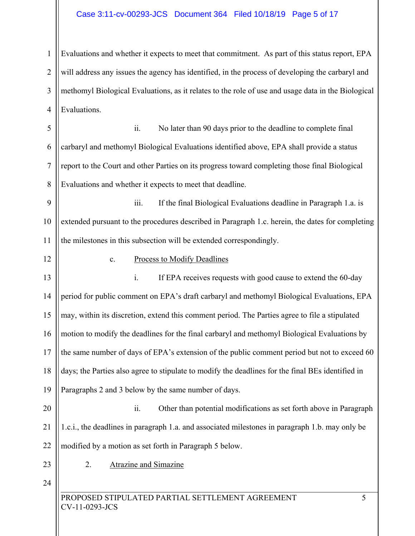## Case 3:11-cv-00293-JCS Document 364 Filed 10/18/19 Page 5 of 17

1 2 3 4 Evaluations and whether it expects to meet that commitment. As part of this status report, EPA will address any issues the agency has identified, in the process of developing the carbaryl and methomyl Biological Evaluations, as it relates to the role of use and usage data in the Biological Evaluations.

5 6 7 8 ii. No later than 90 days prior to the deadline to complete final carbaryl and methomyl Biological Evaluations identified above, EPA shall provide a status report to the Court and other Parties on its progress toward completing those final Biological Evaluations and whether it expects to meet that deadline.

9 10 11 iii. If the final Biological Evaluations deadline in Paragraph 1.a. is extended pursuant to the procedures described in Paragraph 1.c. herein, the dates for completing the milestones in this subsection will be extended correspondingly.

c. Process to Modify Deadlines

13 14 15 16 17 18 19 i. If EPA receives requests with good cause to extend the 60-day period for public comment on EPA's draft carbaryl and methomyl Biological Evaluations, EPA may, within its discretion, extend this comment period. The Parties agree to file a stipulated motion to modify the deadlines for the final carbaryl and methomyl Biological Evaluations by the same number of days of EPA's extension of the public comment period but not to exceed 60 days; the Parties also agree to stipulate to modify the deadlines for the final BEs identified in Paragraphs 2 and 3 below by the same number of days.

20 21 22 ii. Other than potential modifications as set forth above in Paragraph 1.c.i., the deadlines in paragraph 1.a. and associated milestones in paragraph 1.b. may only be modified by a motion as set forth in Paragraph 5 below.

23

12

2. Atrazine and Simazine

24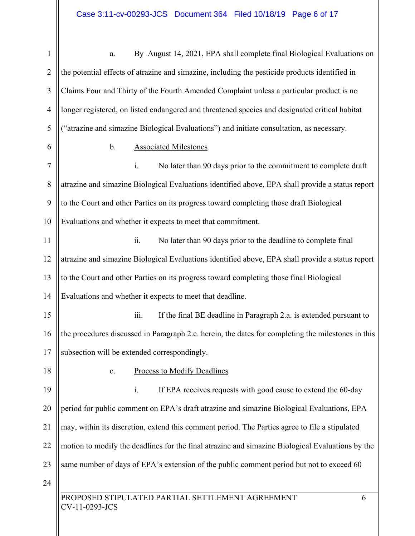$\mathbf{\mathbf{\mathsf{I}}}\mathbf{\mathsf{I}}$ 

| $\mathbf{1}$   | By August 14, 2021, EPA shall complete final Biological Evaluations on<br>a.                       |  |  |
|----------------|----------------------------------------------------------------------------------------------------|--|--|
| $\overline{2}$ | the potential effects of atrazine and simazine, including the pesticide products identified in     |  |  |
| 3              | Claims Four and Thirty of the Fourth Amended Complaint unless a particular product is no           |  |  |
| $\overline{4}$ | longer registered, on listed endangered and threatened species and designated critical habitat     |  |  |
| 5              | ("atrazine and simazine Biological Evaluations") and initiate consultation, as necessary.          |  |  |
| 6              | $\mathbf b$ .<br><b>Associated Milestones</b>                                                      |  |  |
| $\overline{7}$ | $\mathbf{i}$ .<br>No later than 90 days prior to the commitment to complete draft                  |  |  |
| 8              | atrazine and simazine Biological Evaluations identified above, EPA shall provide a status report   |  |  |
| 9              | to the Court and other Parties on its progress toward completing those draft Biological            |  |  |
| 10             | Evaluations and whether it expects to meet that commitment.                                        |  |  |
| 11             | ii.<br>No later than 90 days prior to the deadline to complete final                               |  |  |
| 12             | atrazine and simazine Biological Evaluations identified above, EPA shall provide a status report   |  |  |
| 13             | to the Court and other Parties on its progress toward completing those final Biological            |  |  |
| 14             | Evaluations and whether it expects to meet that deadline.                                          |  |  |
| 15             | iii.<br>If the final BE deadline in Paragraph 2.a. is extended pursuant to                         |  |  |
| 16             | the procedures discussed in Paragraph 2.c. herein, the dates for completing the milestones in this |  |  |
| 17             | subsection will be extended correspondingly.                                                       |  |  |
| 18             | <b>Process to Modify Deadlines</b><br>${\bf c}.$                                                   |  |  |
| 19             | If EPA receives requests with good cause to extend the 60-day<br>i.                                |  |  |
| 20             | period for public comment on EPA's draft atrazine and simazine Biological Evaluations, EPA         |  |  |
| 21             | may, within its discretion, extend this comment period. The Parties agree to file a stipulated     |  |  |
| 22             | motion to modify the deadlines for the final atrazine and simazine Biological Evaluations by the   |  |  |
| 23             | same number of days of EPA's extension of the public comment period but not to exceed 60           |  |  |
| 24             |                                                                                                    |  |  |
|                | PROPOSED STIPULATED PARTIAL SETTLEMENT AGREEMENT<br>6<br>CV-11-0293-JCS                            |  |  |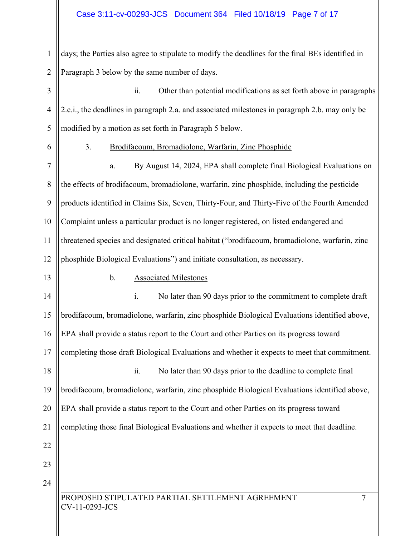## Case 3:11-cv-00293-JCS Document 364 Filed 10/18/19 Page 7 of 17

1 2 days; the Parties also agree to stipulate to modify the deadlines for the final BEs identified in Paragraph 3 below by the same number of days.

3 4 5 ii. Other than potential modifications as set forth above in paragraphs 2.c.i., the deadlines in paragraph 2.a. and associated milestones in paragraph 2.b. may only be modified by a motion as set forth in Paragraph 5 below.

6

#### 3. Brodifacoum, Bromadiolone, Warfarin, Zinc Phosphide

7 8 9 10 11 12 a. By August 14, 2024, EPA shall complete final Biological Evaluations on the effects of brodifacoum, bromadiolone, warfarin, zinc phosphide, including the pesticide products identified in Claims Six, Seven, Thirty-Four, and Thirty-Five of the Fourth Amended Complaint unless a particular product is no longer registered, on listed endangered and threatened species and designated critical habitat ("brodifacoum, bromadiolone, warfarin, zinc phosphide Biological Evaluations") and initiate consultation, as necessary.

#### 13

#### b. Associated Milestones

l 14 15 16 17 18 19 20 21 22 23 24 i. No later than 90 days prior to the commitment to complete draft brodifacoum, bromadiolone, warfarin, zinc phosphide Biological Evaluations identified above, EPA shall provide a status report to the Court and other Parties on its progress toward completing those draft Biological Evaluations and whether it expects to meet that commitment. ii. No later than 90 days prior to the deadline to complete final brodifacoum, bromadiolone, warfarin, zinc phosphide Biological Evaluations identified above, EPA shall provide a status report to the Court and other Parties on its progress toward completing those final Biological Evaluations and whether it expects to meet that deadline.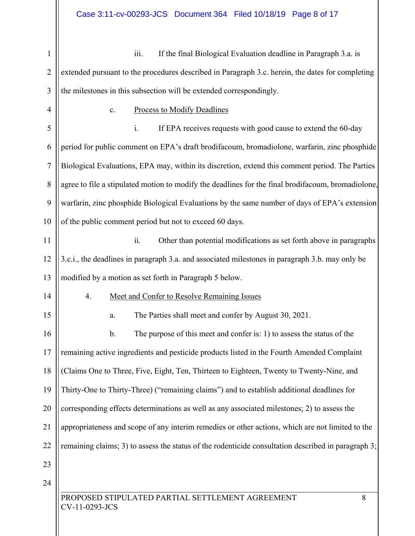| $\mathbf{1}$   | iii.<br>If the final Biological Evaluation deadline in Paragraph 3.a. is                            |
|----------------|-----------------------------------------------------------------------------------------------------|
| $\overline{2}$ | extended pursuant to the procedures described in Paragraph 3.c. herein, the dates for completing    |
| 3              | the milestones in this subsection will be extended correspondingly.                                 |
| $\overline{4}$ | <b>Process to Modify Deadlines</b><br>c.                                                            |
| 5              | i.<br>If EPA receives requests with good cause to extend the 60-day                                 |
| 6              | period for public comment on EPA's draft brodifacoum, bromadiolone, warfarin, zinc phosphide        |
| 7              | Biological Evaluations, EPA may, within its discretion, extend this comment period. The Parties     |
| 8              | agree to file a stipulated motion to modify the deadlines for the final brodifacoum, bromadiolone,  |
| 9              | warfarin, zinc phosphide Biological Evaluations by the same number of days of EPA's extension       |
| 10             | of the public comment period but not to exceed 60 days.                                             |
| 11             | ii.<br>Other than potential modifications as set forth above in paragraphs                          |
| 12             | 3.c.i., the deadlines in paragraph 3.a. and associated milestones in paragraph 3.b. may only be     |
| 13             | modified by a motion as set forth in Paragraph 5 below.                                             |
| 14             | 4.<br>Meet and Confer to Resolve Remaining Issues                                                   |
| 15             | The Parties shall meet and confer by August 30, 2021.<br>a.                                         |
| 16             | The purpose of this meet and confer is: 1) to assess the status of the<br>b.                        |
| 17             | remaining active ingredients and pesticide products listed in the Fourth Amended Complaint          |
| 18             | (Claims One to Three, Five, Eight, Ten, Thirteen to Eighteen, Twenty to Twenty-Nine, and            |
| 19             | Thirty-One to Thirty-Three) ("remaining claims") and to establish additional deadlines for          |
| 20             | corresponding effects determinations as well as any associated milestones; 2) to assess the         |
| 21             | appropriateness and scope of any interim remedies or other actions, which are not limited to the    |
| 22             | remaining claims; 3) to assess the status of the rodenticide consultation described in paragraph 3; |
| 23             |                                                                                                     |
| 24             |                                                                                                     |
|                | PROPOSED STIPULATED PARTIAL SETTLEMENT AGREEMENT<br>8<br>CV-11-0293-JCS                             |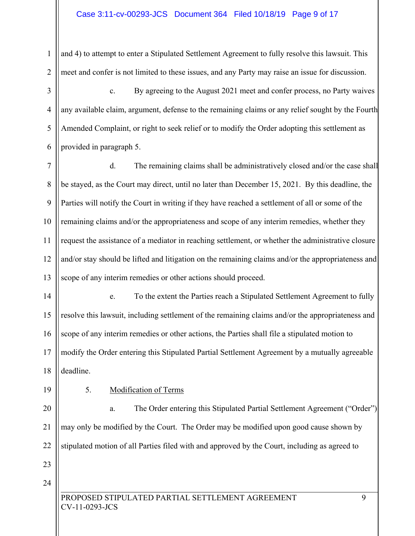1 2 and 4) to attempt to enter a Stipulated Settlement Agreement to fully resolve this lawsuit. This meet and confer is not limited to these issues, and any Party may raise an issue for discussion.

3 4 5 6 c. By agreeing to the August 2021 meet and confer process, no Party waives any available claim, argument, defense to the remaining claims or any relief sought by the Fourth Amended Complaint, or right to seek relief or to modify the Order adopting this settlement as provided in paragraph 5.

7 8 9 10 11 12 13 d. The remaining claims shall be administratively closed and/or the case shall be stayed, as the Court may direct, until no later than December 15, 2021. By this deadline, the Parties will notify the Court in writing if they have reached a settlement of all or some of the remaining claims and/or the appropriateness and scope of any interim remedies, whether they request the assistance of a mediator in reaching settlement, or whether the administrative closure and/or stay should be lifted and litigation on the remaining claims and/or the appropriateness and scope of any interim remedies or other actions should proceed.

- 14 15 16 17 18 e. To the extent the Parties reach a Stipulated Settlement Agreement to fully resolve this lawsuit, including settlement of the remaining claims and/or the appropriateness and scope of any interim remedies or other actions, the Parties shall file a stipulated motion to modify the Order entering this Stipulated Partial Settlement Agreement by a mutually agreeable deadline.
- 19

# 5. Modification of Terms

20 21 22 a. The Order entering this Stipulated Partial Settlement Agreement ("Order") may only be modified by the Court. The Order may be modified upon good cause shown by stipulated motion of all Parties filed with and approved by the Court, including as agreed to

23 24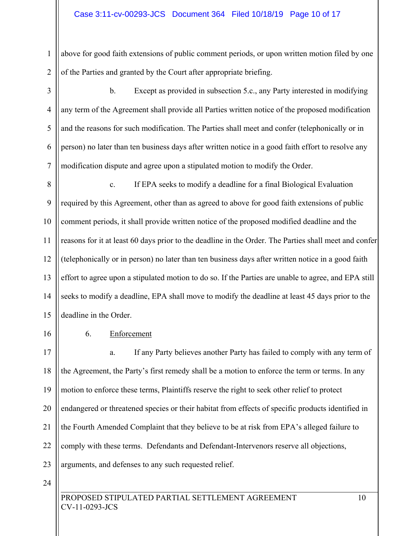## Case 3:11-cv-00293-JCS Document 364 Filed 10/18/19 Page 10 of 17

1 2 above for good faith extensions of public comment periods, or upon written motion filed by one of the Parties and granted by the Court after appropriate briefing.

3 4 5 6 7 b. Except as provided in subsection 5.c., any Party interested in modifying any term of the Agreement shall provide all Parties written notice of the proposed modification and the reasons for such modification. The Parties shall meet and confer (telephonically or in person) no later than ten business days after written notice in a good faith effort to resolve any modification dispute and agree upon a stipulated motion to modify the Order.

8 9 10 11 12 13 14 15 c. If EPA seeks to modify a deadline for a final Biological Evaluation required by this Agreement, other than as agreed to above for good faith extensions of public comment periods, it shall provide written notice of the proposed modified deadline and the reasons for it at least 60 days prior to the deadline in the Order. The Parties shall meet and confer (telephonically or in person) no later than ten business days after written notice in a good faith effort to agree upon a stipulated motion to do so. If the Parties are unable to agree, and EPA still seeks to modify a deadline, EPA shall move to modify the deadline at least 45 days prior to the deadline in the Order.

16

## 6. Enforcement

17 18 19 20 21 22 23 a. If any Party believes another Party has failed to comply with any term of the Agreement, the Party's first remedy shall be a motion to enforce the term or terms. In any motion to enforce these terms, Plaintiffs reserve the right to seek other relief to protect endangered or threatened species or their habitat from effects of specific products identified in the Fourth Amended Complaint that they believe to be at risk from EPA's alleged failure to comply with these terms. Defendants and Defendant-Intervenors reserve all objections, arguments, and defenses to any such requested relief.

24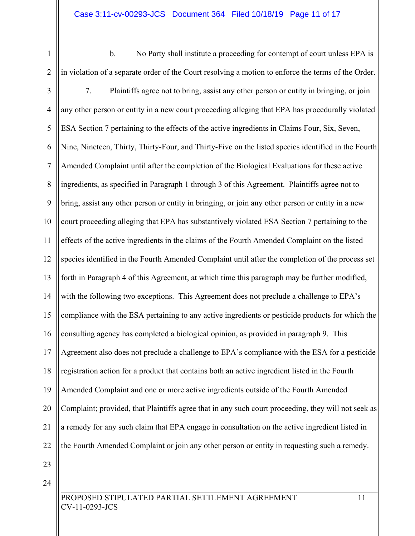b. No Party shall institute a proceeding for contempt of court unless EPA is in violation of a separate order of the Court resolving a motion to enforce the terms of the Order.

- 3 4 5 6 7 8 9 10 11 12 13 14 15 16 17 18 19 20 21 22 23 7. Plaintiffs agree not to bring, assist any other person or entity in bringing, or join any other person or entity in a new court proceeding alleging that EPA has procedurally violated ESA Section 7 pertaining to the effects of the active ingredients in Claims Four, Six, Seven, Nine, Nineteen, Thirty, Thirty-Four, and Thirty-Five on the listed species identified in the Fourth Amended Complaint until after the completion of the Biological Evaluations for these active ingredients, as specified in Paragraph 1 through 3 of this Agreement. Plaintiffs agree not to bring, assist any other person or entity in bringing, or join any other person or entity in a new court proceeding alleging that EPA has substantively violated ESA Section 7 pertaining to the effects of the active ingredients in the claims of the Fourth Amended Complaint on the listed species identified in the Fourth Amended Complaint until after the completion of the process set forth in Paragraph 4 of this Agreement, at which time this paragraph may be further modified, with the following two exceptions. This Agreement does not preclude a challenge to EPA's compliance with the ESA pertaining to any active ingredients or pesticide products for which the consulting agency has completed a biological opinion, as provided in paragraph 9. This Agreement also does not preclude a challenge to EPA's compliance with the ESA for a pesticide registration action for a product that contains both an active ingredient listed in the Fourth Amended Complaint and one or more active ingredients outside of the Fourth Amended Complaint; provided, that Plaintiffs agree that in any such court proceeding, they will not seek as a remedy for any such claim that EPA engage in consultation on the active ingredient listed in the Fourth Amended Complaint or join any other person or entity in requesting such a remedy.
- 24

1

2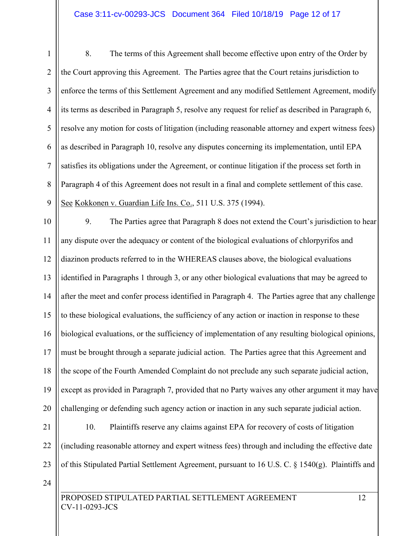## Case 3:11-cv-00293-JCS Document 364 Filed 10/18/19 Page 12 of 17

1 2 3 4 5 6 7 8 9 10 8. The terms of this Agreement shall become effective upon entry of the Order by the Court approving this Agreement. The Parties agree that the Court retains jurisdiction to enforce the terms of this Settlement Agreement and any modified Settlement Agreement, modify its terms as described in Paragraph 5, resolve any request for relief as described in Paragraph 6, resolve any motion for costs of litigation (including reasonable attorney and expert witness fees) as described in Paragraph 10, resolve any disputes concerning its implementation, until EPA satisfies its obligations under the Agreement, or continue litigation if the process set forth in Paragraph 4 of this Agreement does not result in a final and complete settlement of this case. See Kokkonen v. Guardian Life Ins. Co., 511 U.S. 375 (1994). 9. The Parties agree that Paragraph 8 does not extend the Court's jurisdiction to hear

11 12 13 14 15 16 17 18 19 20 any dispute over the adequacy or content of the biological evaluations of chlorpyrifos and diazinon products referred to in the WHEREAS clauses above, the biological evaluations identified in Paragraphs 1 through 3, or any other biological evaluations that may be agreed to after the meet and confer process identified in Paragraph 4. The Parties agree that any challenge to these biological evaluations, the sufficiency of any action or inaction in response to these biological evaluations, or the sufficiency of implementation of any resulting biological opinions, must be brought through a separate judicial action. The Parties agree that this Agreement and the scope of the Fourth Amended Complaint do not preclude any such separate judicial action, except as provided in Paragraph 7, provided that no Party waives any other argument it may have challenging or defending such agency action or inaction in any such separate judicial action.

- 21 22 23 10. Plaintiffs reserve any claims against EPA for recovery of costs of litigation (including reasonable attorney and expert witness fees) through and including the effective date of this Stipulated Partial Settlement Agreement, pursuant to 16 U.S. C. § 1540(g). Plaintiffs and
- 24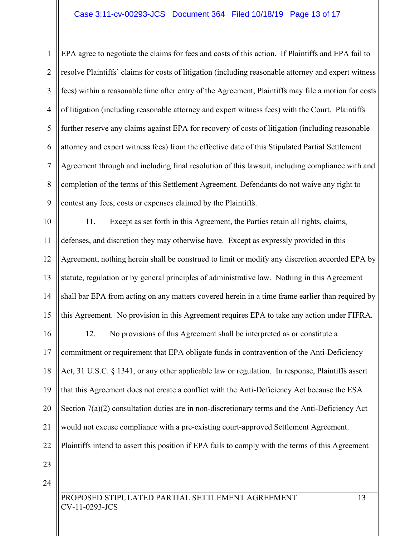## Case 3:11-cv-00293-JCS Document 364 Filed 10/18/19 Page 13 of 17

1 2 3 4 5 6 7 8 9 EPA agree to negotiate the claims for fees and costs of this action. If Plaintiffs and EPA fail to resolve Plaintiffs' claims for costs of litigation (including reasonable attorney and expert witness fees) within a reasonable time after entry of the Agreement, Plaintiffs may file a motion for costs of litigation (including reasonable attorney and expert witness fees) with the Court. Plaintiffs further reserve any claims against EPA for recovery of costs of litigation (including reasonable attorney and expert witness fees) from the effective date of this Stipulated Partial Settlement Agreement through and including final resolution of this lawsuit, including compliance with and completion of the terms of this Settlement Agreement. Defendants do not waive any right to contest any fees, costs or expenses claimed by the Plaintiffs.

10 11 12 13 14 15 11. Except as set forth in this Agreement, the Parties retain all rights, claims, defenses, and discretion they may otherwise have. Except as expressly provided in this Agreement, nothing herein shall be construed to limit or modify any discretion accorded EPA by statute, regulation or by general principles of administrative law. Nothing in this Agreement shall bar EPA from acting on any matters covered herein in a time frame earlier than required by this Agreement. No provision in this Agreement requires EPA to take any action under FIFRA.

16 17 18 19 20 21 22 12. No provisions of this Agreement shall be interpreted as or constitute a commitment or requirement that EPA obligate funds in contravention of the Anti-Deficiency Act, 31 U.S.C. § 1341, or any other applicable law or regulation. In response, Plaintiffs assert that this Agreement does not create a conflict with the Anti-Deficiency Act because the ESA Section 7(a)(2) consultation duties are in non-discretionary terms and the Anti-Deficiency Act would not excuse compliance with a pre-existing court-approved Settlement Agreement. Plaintiffs intend to assert this position if EPA fails to comply with the terms of this Agreement

23

24

l

PROPOSED STIPULATED PARTIAL SETTLEMENT AGREEMENT 13 CV-11-0293-JCS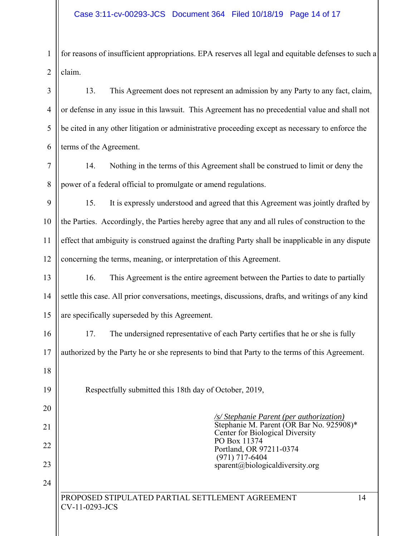1 2 for reasons of insufficient appropriations. EPA reserves all legal and equitable defenses to such a claim.

3 4 5 6 13. This Agreement does not represent an admission by any Party to any fact, claim, or defense in any issue in this lawsuit. This Agreement has no precedential value and shall not be cited in any other litigation or administrative proceeding except as necessary to enforce the terms of the Agreement.

7 8 14. Nothing in the terms of this Agreement shall be construed to limit or deny the power of a federal official to promulgate or amend regulations.

9 10 11 12 15. It is expressly understood and agreed that this Agreement was jointly drafted by the Parties. Accordingly, the Parties hereby agree that any and all rules of construction to the effect that ambiguity is construed against the drafting Party shall be inapplicable in any dispute concerning the terms, meaning, or interpretation of this Agreement.

13 14 15 16. This Agreement is the entire agreement between the Parties to date to partially settle this case. All prior conversations, meetings, discussions, drafts, and writings of any kind are specifically superseded by this Agreement.

16 17 18 17. The undersigned representative of each Party certifies that he or she is fully authorized by the Party he or she represents to bind that Party to the terms of this Agreement.

Respectfully submitted this 18th day of October, 2019,

*/s/ Stephanie Parent (per authorization)*  Stephanie M. Parent (OR Bar No. 925908)\* Center for Biological Diversity PO Box 11374 Portland, OR 97211-0374 (971) 717-6404 sparent@biologicaldiversity.org

l

19

20

21

22

23

24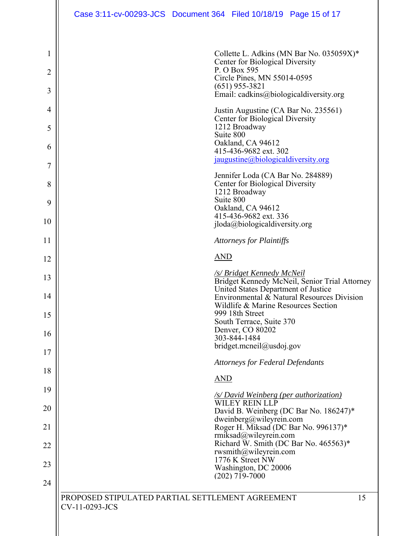|                               | Case 3:11-cv-00293-JCS  Document 364  Filed 10/18/19  Page 15 of 17 |            |                                                                                                                                                                               |                                                                                             |
|-------------------------------|---------------------------------------------------------------------|------------|-------------------------------------------------------------------------------------------------------------------------------------------------------------------------------|---------------------------------------------------------------------------------------------|
| 1<br>2<br>3<br>$\overline{4}$ |                                                                     |            | Center for Biological Diversity<br>P. O Box 595<br>Circle Pines, MN 55014-0595<br>$(651)$ 955-3821<br>Justin Augustine (CA Bar No. 235561)<br>Center for Biological Diversity | Collette L. Adkins (MN Bar No. 035059X)*<br>Email: cadkins@biologicaldiversity.org          |
| 5<br>6<br>$\overline{7}$      |                                                                     | Suite 800  | 1212 Broadway<br>Oakland, CA 94612<br>415-436-9682 ext. 302<br>jaugustine@biologicaldiversity.org                                                                             |                                                                                             |
| 8<br>9                        |                                                                     | Suite 800  | Jennifer Loda (CA Bar No. 284889)<br>Center for Biological Diversity<br>1212 Broadway<br>Oakland, CA 94612                                                                    |                                                                                             |
| 10                            |                                                                     |            | 415-436-9682 ext. 336<br>$i$ loda@biologicaldiversity.org                                                                                                                     |                                                                                             |
| 11                            |                                                                     |            | <b>Attorneys for Plaintiffs</b>                                                                                                                                               |                                                                                             |
| 12                            |                                                                     | <b>AND</b> |                                                                                                                                                                               |                                                                                             |
| 13<br>14                      |                                                                     |            | <u>/s/ Bridget Kennedy McNeil</u><br>United States Department of Justice                                                                                                      | Bridget Kennedy McNeil, Senior Trial Attorney<br>Environmental & Natural Resources Division |
| 15                            |                                                                     |            | Wildlife & Marine Resources Section<br>999 18th Street                                                                                                                        |                                                                                             |
| 16                            |                                                                     |            | South Terrace, Suite 370<br>Denver, CO 80202<br>303-844-1484                                                                                                                  |                                                                                             |
| 17                            |                                                                     |            | bridget.mcneil@usdoj.gov                                                                                                                                                      |                                                                                             |
| 18                            |                                                                     |            | <b>Attorneys for Federal Defendants</b>                                                                                                                                       |                                                                                             |
| 19                            |                                                                     | AND        | <u>/s/ David Weinberg (per authorization)</u>                                                                                                                                 |                                                                                             |
| 20                            |                                                                     |            | WILEY REIN LLP                                                                                                                                                                | David B. Weinberg (DC Bar No. 186247)*                                                      |
| 21                            |                                                                     |            | dweinberg@wileyrein.com<br>rmiksad@wileyrein.com                                                                                                                              | Roger H. Miksad (DC Bar No. 996137)*                                                        |
| 22                            |                                                                     |            | rwsmith@wileyrein.com                                                                                                                                                         | Richard W. Smith (DC Bar No. 465563)*                                                       |
| 23                            |                                                                     |            | 1776 K Street NW<br>Washington, DC 20006<br>$(202)$ 719-7000                                                                                                                  |                                                                                             |
| 24                            |                                                                     |            |                                                                                                                                                                               |                                                                                             |
|                               | PROPOSED STIPULATED PARTIAL SETTLEMENT AGREEMENT<br>CV-11-0293-JCS  |            |                                                                                                                                                                               | 15                                                                                          |
|                               |                                                                     |            |                                                                                                                                                                               |                                                                                             |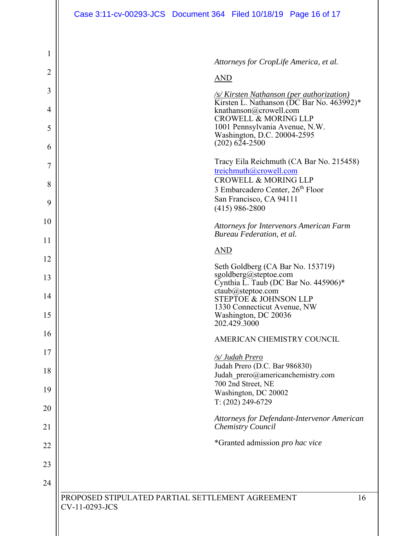|                | Case 3:11-cv-00293-JCS Document 364 Filed 10/18/19 Page 16 of 17                                   |
|----------------|----------------------------------------------------------------------------------------------------|
|                |                                                                                                    |
| 1              |                                                                                                    |
| $\overline{2}$ | Attorneys for CropLife America, et al.<br><b>AND</b>                                               |
| 3              | <u>/s/Kirsten Nathanson (per authorization)</u>                                                    |
| 4              | Kirsten L. Nathanson (DC Bar No. 463992)*<br>knathanson@crowell.com                                |
| 5              | <b>CROWELL &amp; MORING LLP</b><br>1001 Pennsylvania Avenue, N.W.                                  |
| 6              | Washington, D.C. 20004-2595<br>$(202)$ 624-2500                                                    |
| 7              | Tracy Eila Reichmuth (CA Bar No. 215458)<br>treichmuth@crowell.com                                 |
| 8              | <b>CROWELL &amp; MORING LLP</b><br>3 Embarcadero Center, 26 <sup>th</sup> Floor                    |
| 9              | San Francisco, CA 94111<br>$(415)$ 986-2800                                                        |
| 10             | Attorneys for Intervenors American Farm                                                            |
| 11             | Bureau Federation, et al.                                                                          |
| 12             | <b>AND</b>                                                                                         |
| 13             | Seth Goldberg (CA Bar No. 153719)<br>sgoldberg@steptoe.com<br>Cynthia L. Taub (DC Bar No. 445906)* |
| 14             | ctaub@step to e.com<br><b>STEPTOE &amp; JOHNSON LLP</b>                                            |
| 15             | 1330 Connecticut Avenue, NW<br>Washington, DC 20036<br>202.429.3000                                |
| 16             | AMERICAN CHEMISTRY COUNCIL                                                                         |
| 17             | /s/ Judah Prero                                                                                    |
| 18             | Judah Prero (D.C. Bar 986830)<br>Judah prero@americanchemistry.com                                 |
| 19             | 700 2nd Street, NE<br>Washington, DC 20002                                                         |
| 20             | T: (202) 249-6729<br>Attorneys for Defendant-Intervenor American                                   |
| 21             | Chemistry Council                                                                                  |
| 22             | *Granted admission pro hac vice                                                                    |
| 23             |                                                                                                    |
| 24             |                                                                                                    |
|                | PROPOSED STIPULATED PARTIAL SETTLEMENT AGREEMENT<br>16<br>CV-11-0293-JCS                           |
|                |                                                                                                    |